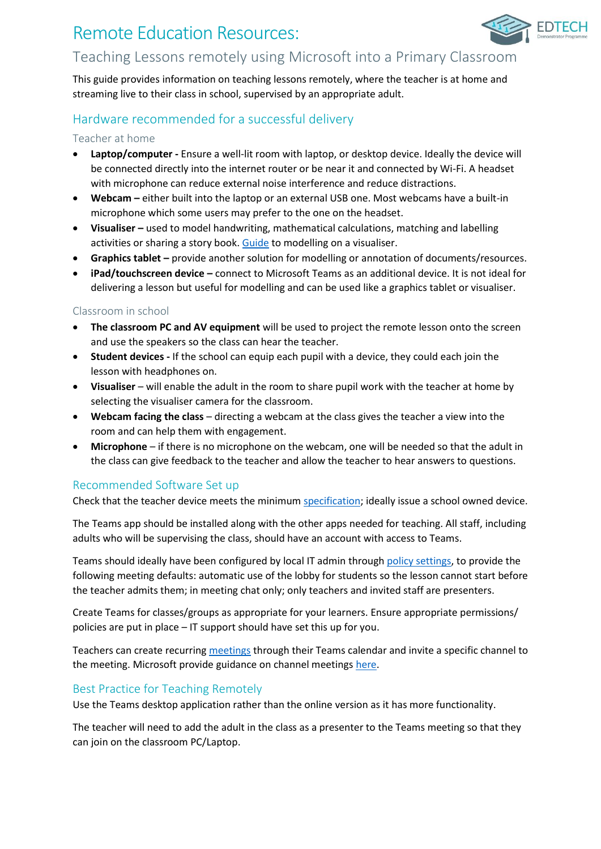# Remote Education Resources:



**EDTECH** 

This guide provides information on teaching lessons remotely, where the teacher is at home and streaming live to their class in school, supervised by an appropriate adult.

## Hardware recommended for a successful delivery

### Teacher at home

- **Laptop/computer -** Ensure a well-lit room with laptop, or desktop device. Ideally the device will be connected directly into the internet router or be near it and connected by Wi-Fi. A headset with microphone can reduce external noise interference and reduce distractions.
- **Webcam –** either built into the laptop or an external USB one. Most webcams have a built-in microphone which some users may prefer to the one on the headset.
- **Visualiser –** used to model handwriting, mathematical calculations, matching and labelling activities or sharing a story book. [Guide](https://support.microsoft.com/en-gb/office/share-whiteboards-and-documents-using-your-camera-in-teams-meetings-905b52e3-bcd7-45c5-84cc-03992d7fc84f) to modelling on a visualiser.
- **Graphics tablet –** provide another solution for modelling or annotation of documents/resources.
- **iPad/touchscreen device –** connect to Microsoft Teams as an additional device. It is not ideal for delivering a lesson but useful for modelling and can be used like a graphics tablet or visualiser.

### Classroom in school

- **The classroom PC and AV equipment** will be used to project the remote lesson onto the screen and use the speakers so the class can hear the teacher.
- **Student devices -** If the school can equip each pupil with a device, they could each join the lesson with headphones on.
- **Visualiser** will enable the adult in the room to share pupil work with the teacher at home by selecting the visualiser camera for the classroom.
- **Webcam facing the class** directing a webcam at the class gives the teacher a view into the room and can help them with engagement.
- **Microphone** if there is no microphone on the webcam, one will be needed so that the adult in the class can give feedback to the teacher and allow the teacher to hear answers to questions.

## Recommended Software Set up

Check that the teacher device meets the minimu[m specification;](https://docs.microsoft.com/en-us/microsoftteams/hardware-requirements-for-the-teams-app) ideally issue a school owned device.

The Teams app should be installed along with the other apps needed for teaching. All staff, including adults who will be supervising the class, should have an account with access to Teams.

Teams should ideally have been configured by local IT admin through [policy settings,](https://docs.microsoft.com/en-us/microsoftteams/policy-packages-edu) to provide the following meeting defaults: automatic use of the lobby for students so the lesson cannot start before the teacher admits them; in meeting chat only; only teachers and invited staff are presenters.

Create Teams for classes/groups as appropriate for your learners. Ensure appropriate permissions/ policies are put in place – IT support should have set this up for you.

Teachers can create recurring [meetings](https://www.youtube.com/watch?v=olqTL_cNlR8) through their Teams calendar and invite a specific channel to the meeting. Microsoft provide guidance on channel meetings [here.](https://support.microsoft.com/en-gb/office/schedule-a-meeting-in-teams-943507a9-8583-4c58-b5d2-8ec8265e04e5#bkmk_makeitchannel)

## Best Practice for Teaching Remotely

Use the Teams desktop application rather than the online version as it has more functionality.

The teacher will need to add the adult in the class as a presenter to the Teams meeting so that they can join on the classroom PC/Laptop.